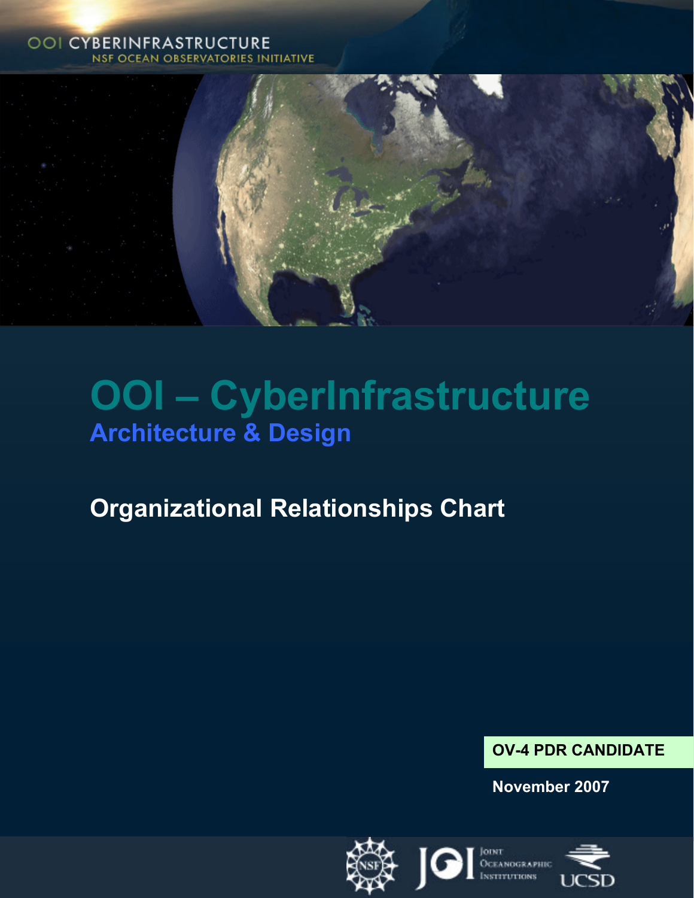#### **OOI CYBERINFRASTRUCTURE NSF OCEAN OBSERVATORIES INITIATIVE**



# **OOI – CyberInfrastructure Architecture & Design**

# **Organizational Relationships Chart**

### **OV-4 PDR CANDIDATE**

**November 2007** 

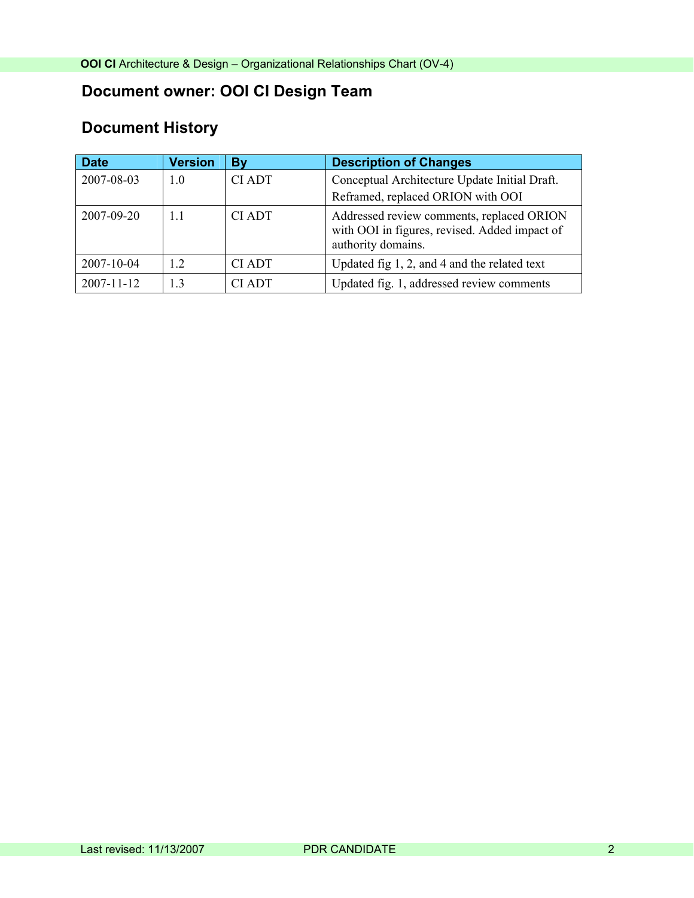# **Document owner: OOI CI Design Team**

# **Document History**

| <b>Date</b>      | <b>Version</b> | By            | <b>Description of Changes</b>                                                                                    |
|------------------|----------------|---------------|------------------------------------------------------------------------------------------------------------------|
| 2007-08-03       | 1.0            | <b>CI ADT</b> | Conceptual Architecture Update Initial Draft.                                                                    |
|                  |                |               | Reframed, replaced ORION with OOI                                                                                |
| 2007-09-20       | 11             | <b>CI ADT</b> | Addressed review comments, replaced ORION<br>with OOI in figures, revised. Added impact of<br>authority domains. |
| 2007-10-04       | 12             | <b>CIADT</b>  | Updated fig 1, 2, and 4 and the related text                                                                     |
| $2007 - 11 - 12$ | 13             | CI ADT        | Updated fig. 1, addressed review comments                                                                        |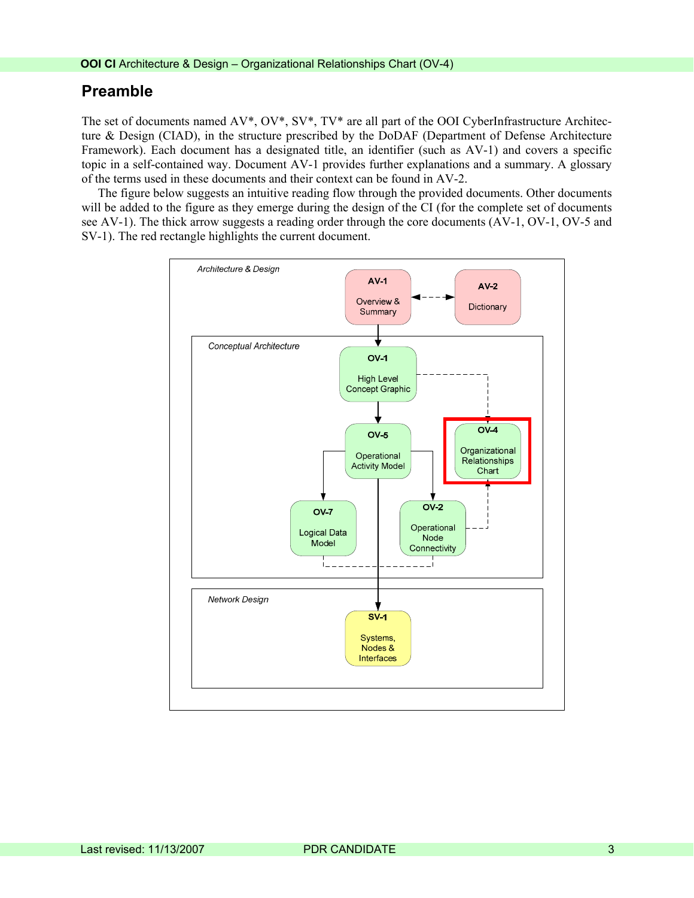#### **Preamble**

The set of documents named AV\*, OV\*, SV\*, TV\* are all part of the OOI CyberInfrastructure Architecture & Design (CIAD), in the structure prescribed by the DoDAF (Department of Defense Architecture Framework). Each document has a designated title, an identifier (such as AV-1) and covers a specific topic in a self-contained way. Document AV-1 provides further explanations and a summary. A glossary of the terms used in these documents and their context can be found in AV-2.

The figure below suggests an intuitive reading flow through the provided documents. Other documents will be added to the figure as they emerge during the design of the CI (for the complete set of documents see AV-1). The thick arrow suggests a reading order through the core documents (AV-1, OV-1, OV-5 and SV-1). The red rectangle highlights the current document.

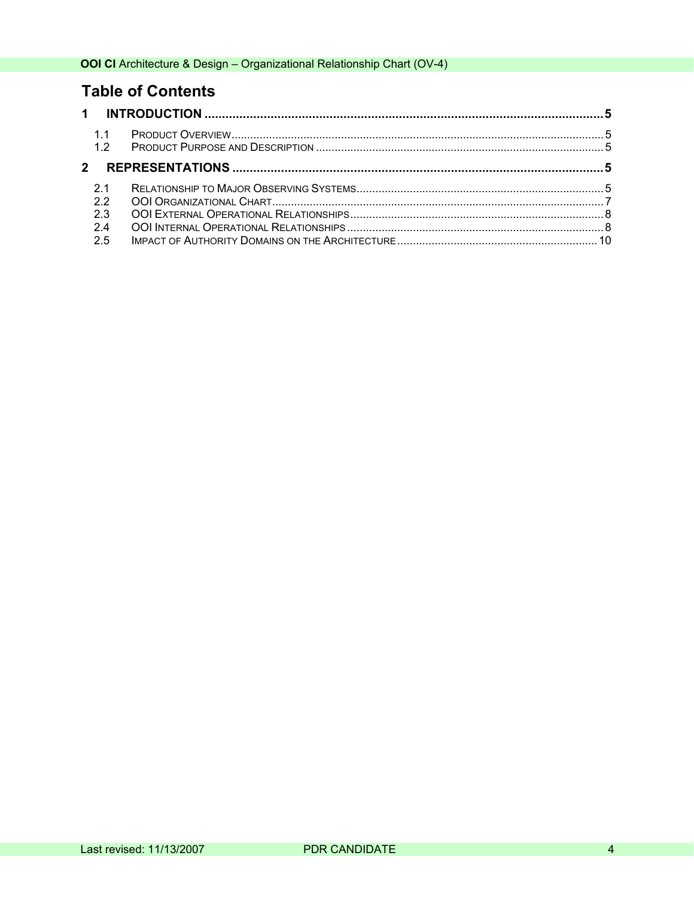## **Table of Contents**

| 1.1<br>1.2<br>21<br>22<br>2.3<br>2.4<br>2.5 |
|---------------------------------------------|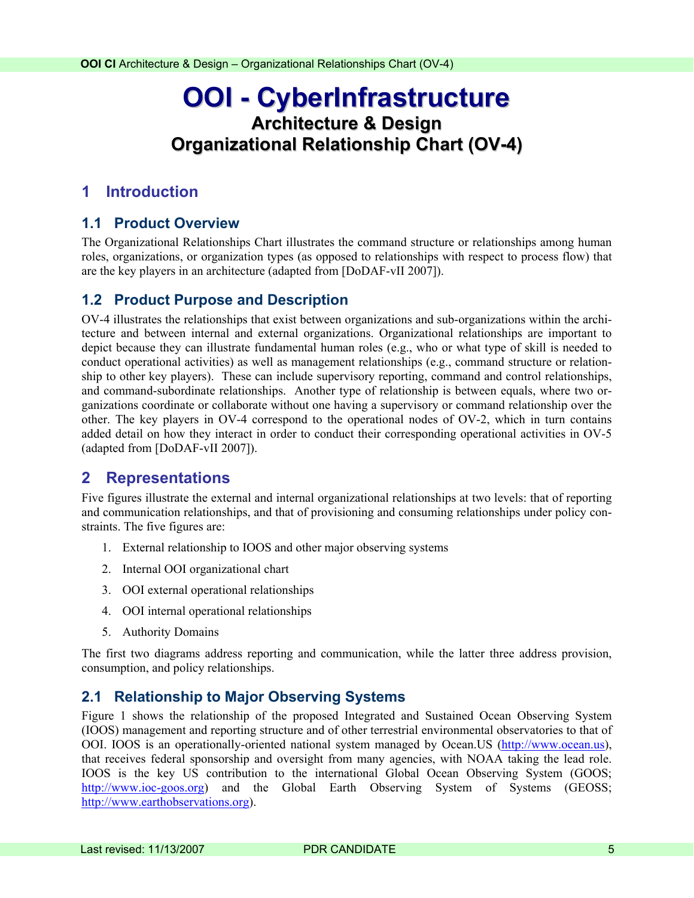# <span id="page-4-0"></span>**OOI - CyberInfrastructure Architecture & Design Organizational Relationship Chart (OV-4)**

#### **1 Introduction**

#### **1.1 Product Overview**

The Organizational Relationships Chart illustrates the command structure or relationships among human roles, organizations, or organization types (as opposed to relationships with respect to process flow) that are the key players in an architecture (adapted from [DoDAF-vII 2007]).

#### **1.2 Product Purpose and Description**

OV-4 illustrates the relationships that exist between organizations and sub-organizations within the architecture and between internal and external organizations. Organizational relationships are important to depict because they can illustrate fundamental human roles (e.g., who or what type of skill is needed to conduct operational activities) as well as management relationships (e.g., command structure or relationship to other key players). These can include supervisory reporting, command and control relationships, and command-subordinate relationships. Another type of relationship is between equals, where two organizations coordinate or collaborate without one having a supervisory or command relationship over the other. The key players in OV-4 correspond to the operational nodes of OV-2, which in turn contains added detail on how they interact in order to conduct their corresponding operational activities in OV-5 (adapted from [DoDAF-vII 2007]).

#### **2 Representations**

Five figures illustrate the external and internal organizational relationships at two levels: that of reporting and communication relationships, and that of provisioning and consuming relationships under policy constraints. The five figures are:

- 1. External relationship to IOOS and other major observing systems
- 2. Internal OOI organizational chart
- 3. OOI external operational relationships
- 4. OOI internal operational relationships
- 5. Authority Domains

The first two diagrams address reporting and communication, while the latter three address provision, consumption, and policy relationships.

#### **2.1 Relationship to Major Observing Systems**

Figure 1 shows the relationship of the proposed Integrated and Sustained Ocean Observing System (IOOS) management and reporting structure and of other terrestrial environmental observatories to that of OOI. IOOS is an operationally-oriented national system managed by Ocean.US ([http://www.ocean.us\)](http://www.ocean.us/), that receives federal sponsorship and oversight from many agencies, with NOAA taking the lead role. IOOS is the key US contribution to the international Global Ocean Observing System (GOOS; [http://www.ioc-goos.org](http://www.ioc-goos.org/)) and the Global Earth Observing System of Systems (GEOSS; [http://www.earthobservations.org\)](http://www.earthobservations.org/).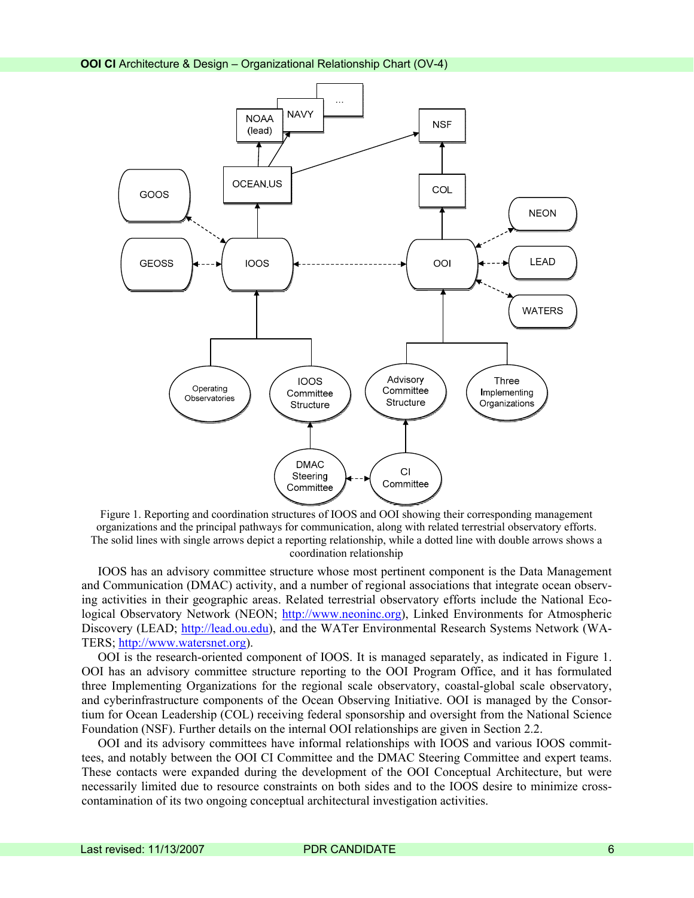

Figure 1. Reporting and coordination structures of IOOS and OOI showing their corresponding management organizations and the principal pathways for communication, along with related terrestrial observatory efforts. The solid lines with single arrows depict a reporting relationship, while a dotted line with double arrows shows a coordination relationship

IOOS has an advisory committee structure whose most pertinent component is the Data Management and Communication (DMAC) activity, and a number of regional associations that integrate ocean observing activities in their geographic areas. Related terrestrial observatory efforts include the National Ecological Observatory Network (NEON; [http://www.neoninc.org](http://www.neoninc.org/)), Linked Environments for Atmospheric Discovery (LEAD; [http://lead.ou.edu](http://lead.ou.edu/)), and the WATer Environmental Research Systems Network (WA-TERS; [http://www.watersnet.org](http://www.watersnet.org/)).

OOI is the research-oriented component of IOOS. It is managed separately, as indicated in Figure 1. OOI has an advisory committee structure reporting to the OOI Program Office, and it has formulated three Implementing Organizations for the regional scale observatory, coastal-global scale observatory, and cyberinfrastructure components of the Ocean Observing Initiative. OOI is managed by the Consortium for Ocean Leadership (COL) receiving federal sponsorship and oversight from the National Science Foundation (NSF). Further details on the internal OOI relationships are given in Section 2.2.

OOI and its advisory committees have informal relationships with IOOS and various IOOS committees, and notably between the OOI CI Committee and the DMAC Steering Committee and expert teams. These contacts were expanded during the development of the OOI Conceptual Architecture, but were necessarily limited due to resource constraints on both sides and to the IOOS desire to minimize crosscontamination of its two ongoing conceptual architectural investigation activities.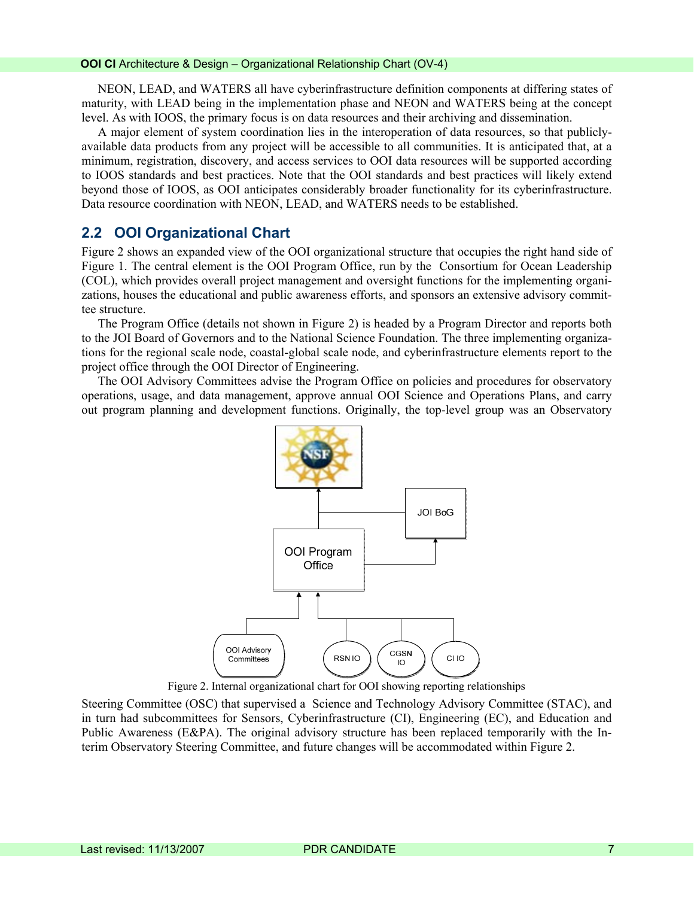<span id="page-6-0"></span>NEON, LEAD, and WATERS all have cyberinfrastructure definition components at differing states of maturity, with LEAD being in the implementation phase and NEON and WATERS being at the concept level. As with IOOS, the primary focus is on data resources and their archiving and dissemination.

A major element of system coordination lies in the interoperation of data resources, so that publiclyavailable data products from any project will be accessible to all communities. It is anticipated that, at a minimum, registration, discovery, and access services to OOI data resources will be supported according to IOOS standards and best practices. Note that the OOI standards and best practices will likely extend beyond those of IOOS, as OOI anticipates considerably broader functionality for its cyberinfrastructure. Data resource coordination with NEON, LEAD, and WATERS needs to be established.

#### **2.2 OOI Organizational Chart**

Figure 2 shows an expanded view of the OOI organizational structure that occupies the right hand side of Figure 1. The central element is the OOI Program Office, run by the Consortium for Ocean Leadership (COL), which provides overall project management and oversight functions for the implementing organizations, houses the educational and public awareness efforts, and sponsors an extensive advisory committee structure.

The Program Office (details not shown in Figure 2) is headed by a Program Director and reports both to the JOI Board of Governors and to the National Science Foundation. The three implementing organizations for the regional scale node, coastal-global scale node, and cyberinfrastructure elements report to the project office through the OOI Director of Engineering.

The OOI Advisory Committees advise the Program Office on policies and procedures for observatory operations, usage, and data management, approve annual OOI Science and Operations Plans, and carry out program planning and development functions. Originally, the top-level group was an Observatory



Figure 2. Internal organizational chart for OOI showing reporting relationships

Steering Committee (OSC) that supervised a Science and Technology Advisory Committee (STAC), and in turn had subcommittees for Sensors, Cyberinfrastructure (CI), Engineering (EC), and Education and Public Awareness (E&PA). The original advisory structure has been replaced temporarily with the Interim Observatory Steering Committee, and future changes will be accommodated within Figure 2.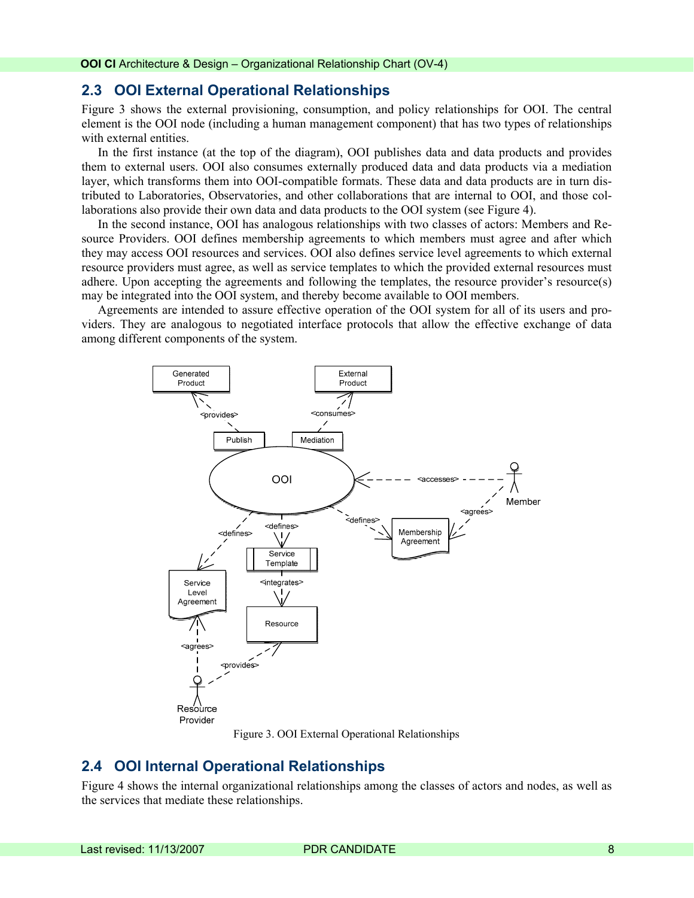#### <span id="page-7-0"></span>**2.3 OOI External Operational Relationships**

Figure 3 shows the external provisioning, consumption, and policy relationships for OOI. The central element is the OOI node (including a human management component) that has two types of relationships with external entities.

In the first instance (at the top of the diagram), OOI publishes data and data products and provides them to external users. OOI also consumes externally produced data and data products via a mediation layer, which transforms them into OOI-compatible formats. These data and data products are in turn distributed to Laboratories, Observatories, and other collaborations that are internal to OOI, and those collaborations also provide their own data and data products to the OOI system (see Figure 4).

In the second instance, OOI has analogous relationships with two classes of actors: Members and Resource Providers. OOI defines membership agreements to which members must agree and after which they may access OOI resources and services. OOI also defines service level agreements to which external resource providers must agree, as well as service templates to which the provided external resources must adhere. Upon accepting the agreements and following the templates, the resource provider's resource(s) may be integrated into the OOI system, and thereby become available to OOI members.

Agreements are intended to assure effective operation of the OOI system for all of its users and providers. They are analogous to negotiated interface protocols that allow the effective exchange of data among different components of the system.



Figure 3. OOI External Operational Relationships

#### **2.4 OOI Internal Operational Relationships**

Figure 4 shows the internal organizational relationships among the classes of actors and nodes, as well as the services that mediate these relationships.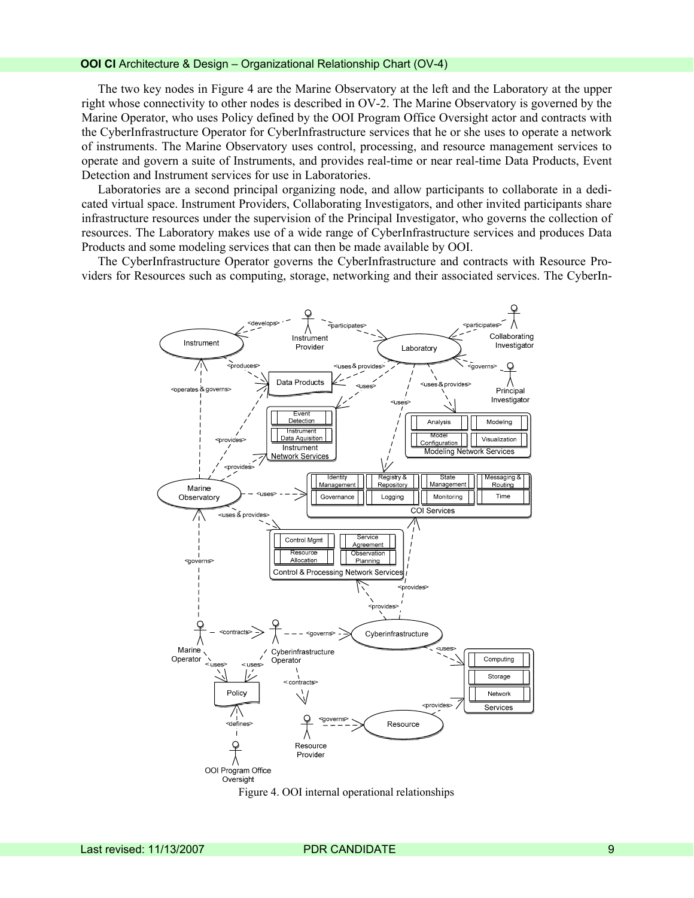#### **OOI CI** Architecture & Design – Organizational Relationship Chart (OV-4)

The two key nodes in Figure 4 are the Marine Observatory at the left and the Laboratory at the upper right whose connectivity to other nodes is described in OV-2. The Marine Observatory is governed by the Marine Operator, who uses Policy defined by the OOI Program Office Oversight actor and contracts with the CyberInfrastructure Operator for CyberInfrastructure services that he or she uses to operate a network of instruments. The Marine Observatory uses control, processing, and resource management services to operate and govern a suite of Instruments, and provides real-time or near real-time Data Products, Event Detection and Instrument services for use in Laboratories.

Laboratories are a second principal organizing node, and allow participants to collaborate in a dedicated virtual space. Instrument Providers, Collaborating Investigators, and other invited participants share infrastructure resources under the supervision of the Principal Investigator, who governs the collection of resources. The Laboratory makes use of a wide range of CyberInfrastructure services and produces Data Products and some modeling services that can then be made available by OOI.

The CyberInfrastructure Operator governs the CyberInfrastructure and contracts with Resource Providers for Resources such as computing, storage, networking and their associated services. The CyberIn-



Figure 4. OOI internal operational relationships